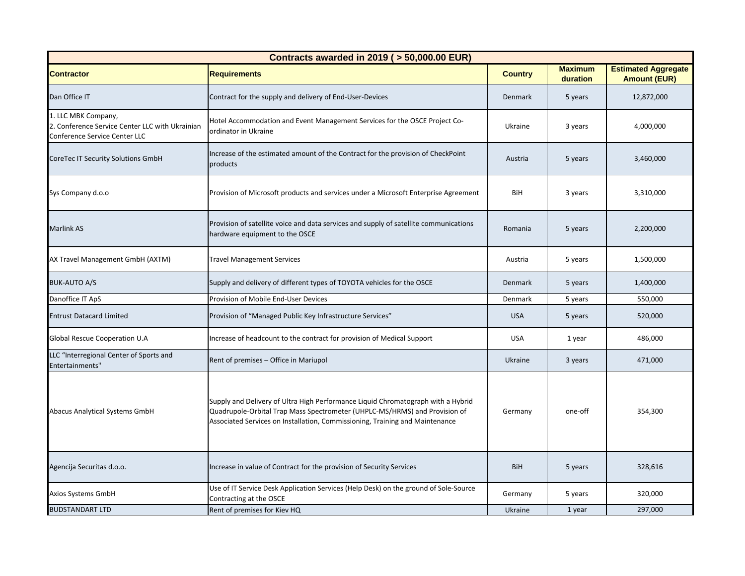| Contracts awarded in 2019 ( > 50,000.00 EUR)                                                            |                                                                                                                                                                                                                                                |                |                            |                                                   |  |  |
|---------------------------------------------------------------------------------------------------------|------------------------------------------------------------------------------------------------------------------------------------------------------------------------------------------------------------------------------------------------|----------------|----------------------------|---------------------------------------------------|--|--|
| <b>Contractor</b>                                                                                       | <b>Requirements</b>                                                                                                                                                                                                                            | <b>Country</b> | <b>Maximum</b><br>duration | <b>Estimated Aggregate</b><br><b>Amount (EUR)</b> |  |  |
| Dan Office IT                                                                                           | Contract for the supply and delivery of End-User-Devices                                                                                                                                                                                       | Denmark        | 5 years                    | 12,872,000                                        |  |  |
| 1. LLC MBK Company,<br>2. Conference Service Center LLC with Ukrainian<br>Conference Service Center LLC | Hotel Accommodation and Event Management Services for the OSCE Project Co-<br>ordinator in Ukraine                                                                                                                                             | Ukraine        | 3 years                    | 4,000,000                                         |  |  |
| CoreTec IT Security Solutions GmbH                                                                      | Increase of the estimated amount of the Contract for the provision of CheckPoint<br>products                                                                                                                                                   | Austria        | 5 years                    | 3,460,000                                         |  |  |
| Sys Company d.o.o                                                                                       | Provision of Microsoft products and services under a Microsoft Enterprise Agreement                                                                                                                                                            | BiH            | 3 years                    | 3,310,000                                         |  |  |
| <b>Marlink AS</b>                                                                                       | Provision of satellite voice and data services and supply of satellite communications<br>hardware equipment to the OSCE                                                                                                                        | Romania        | 5 years                    | 2,200,000                                         |  |  |
| AX Travel Management GmbH (AXTM)                                                                        | <b>Travel Management Services</b>                                                                                                                                                                                                              | Austria        | 5 years                    | 1,500,000                                         |  |  |
| <b>BUK-AUTO A/S</b>                                                                                     | Supply and delivery of different types of TOYOTA vehicles for the OSCE                                                                                                                                                                         | Denmark        | 5 years                    | 1,400,000                                         |  |  |
| Danoffice IT ApS                                                                                        | Provision of Mobile End-User Devices                                                                                                                                                                                                           | Denmark        | 5 years                    | 550,000                                           |  |  |
| <b>Entrust Datacard Limited</b>                                                                         | Provision of "Managed Public Key Infrastructure Services"                                                                                                                                                                                      | <b>USA</b>     | 5 years                    | 520,000                                           |  |  |
| Global Rescue Cooperation U.A                                                                           | Increase of headcount to the contract for provision of Medical Support                                                                                                                                                                         | <b>USA</b>     | 1 year                     | 486,000                                           |  |  |
| LLC "Interregional Center of Sports and<br>Entertainments"                                              | Rent of premises - Office in Mariupol                                                                                                                                                                                                          | Ukraine        | 3 years                    | 471,000                                           |  |  |
| Abacus Analytical Systems GmbH                                                                          | Supply and Delivery of Ultra High Performance Liquid Chromatograph with a Hybrid<br>Quadrupole-Orbital Trap Mass Spectrometer (UHPLC-MS/HRMS) and Provision of<br>Associated Services on Installation, Commissioning, Training and Maintenance | Germany        | one-off                    | 354,300                                           |  |  |
| Agencija Securitas d.o.o.                                                                               | Increase in value of Contract for the provision of Security Services                                                                                                                                                                           | BiH            | 5 years                    | 328,616                                           |  |  |
| Axios Systems GmbH                                                                                      | Use of IT Service Desk Application Services (Help Desk) on the ground of Sole-Source<br>Contracting at the OSCE                                                                                                                                | Germany        | 5 years                    | 320,000                                           |  |  |
| <b>BUDSTANDART LTD</b>                                                                                  | Rent of premises for Kiev HQ                                                                                                                                                                                                                   | Ukraine        | 1 year                     | 297.000                                           |  |  |